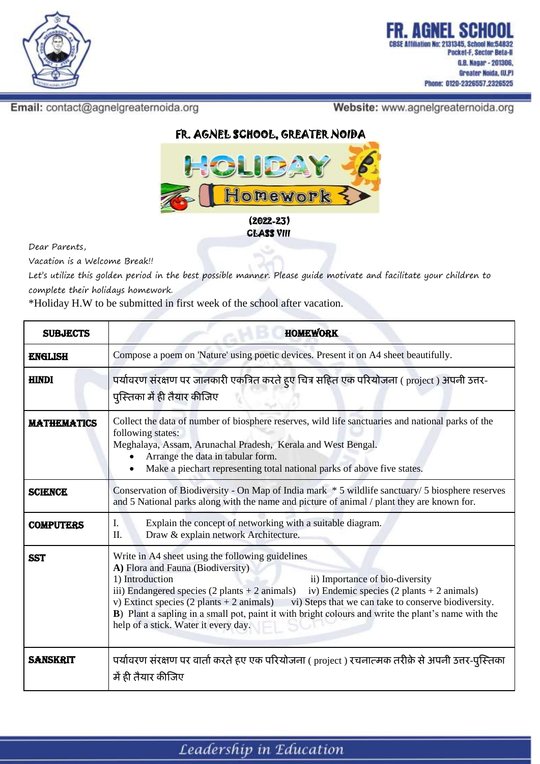

Email: contact@agnelgreaternoida.org

Website: www.agnelgreaternoida.org



CLASS VIII

Dear Parents,

Vacation is a Welcome Break!!

Let's utilize this golden period in the best possible manner. Please guide motivate and facilitate your children to complete their holidays homework.

\*Holiday H.W to be submitted in first week of the school after vacation.

| <b>SUBJECTS</b>    | <b>HOMEWORK</b>                                                                                                                                                                                                                                                                                                                                                                                                                                                                                                                                       |
|--------------------|-------------------------------------------------------------------------------------------------------------------------------------------------------------------------------------------------------------------------------------------------------------------------------------------------------------------------------------------------------------------------------------------------------------------------------------------------------------------------------------------------------------------------------------------------------|
| <b>ENGLISH</b>     | Compose a poem on 'Nature' using poetic devices. Present it on A4 sheet beautifully.                                                                                                                                                                                                                                                                                                                                                                                                                                                                  |
| <b>HINDI</b>       | पर्यावरण संरक्षण पर जानकारी एकत्रित करते हुए चित्र सहित एक परियोजना ( project ) अपनी उत्तर-<br>पुस्तिका में ही तैयार कीजिए                                                                                                                                                                                                                                                                                                                                                                                                                            |
| <b>MATHEMATICS</b> | Collect the data of number of biosphere reserves, wild life sanctuaries and national parks of the<br>following states:<br>Meghalaya, Assam, Arunachal Pradesh, Kerala and West Bengal.<br>Arrange the data in tabular form.<br>Make a piechart representing total national parks of above five states.                                                                                                                                                                                                                                                |
| <b>SCIENCE</b>     | Conservation of Biodiversity - On Map of India mark * 5 wildlife sanctuary/ 5 biosphere reserves<br>and 5 National parks along with the name and picture of animal / plant they are known for.                                                                                                                                                                                                                                                                                                                                                        |
| <b>COMPUTERS</b>   | I.<br>Explain the concept of networking with a suitable diagram.<br>Draw & explain network Architecture.<br>II.                                                                                                                                                                                                                                                                                                                                                                                                                                       |
| <b>SST</b>         | Write in A4 sheet using the following guidelines<br>A) Flora and Fauna (Biodiversity)<br>1) Introduction<br>ii) Importance of bio-diversity<br>iv) Endemic species $(2 \text{ plants} + 2 \text{ animals})$<br>iii) Endangered species $(2 \text{ plants} + 2 \text{ animals})$<br>v) Extinct species $(2 \text{ plants} + 2 \text{ animals})$<br>vi) Steps that we can take to conserve biodiversity.<br>B) Plant a sapling in a small pot, paint it with bright colours and write the plant's name with the<br>help of a stick. Water it every day. |
| <b>SANSKRIT</b>    | पर्यावरण संरक्षण पर वार्ता करते हुए एक परियोजना ( project ) रचनात्मक तरीक़े से अपनी उत्तर-पुस्तिका<br>में ही तैयार कीजिए                                                                                                                                                                                                                                                                                                                                                                                                                              |

Leadership in Education